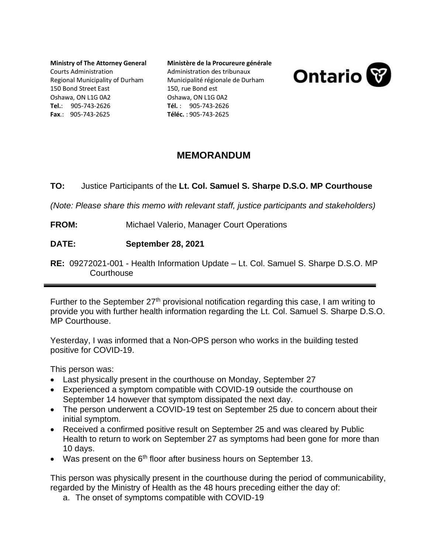**Ministry of The Attorney General** Courts Administration Regional Municipality of Durham 150 Bond Street East Oshawa, ON L1G 0A2 **Tel.**: 905-743-2626 **Fax**.: 905-743-2625

**Ministère de la Procureure générale**  Administration des tribunaux Municipalité régionale de Durham 150, rue Bond est Oshawa, ON L1G 0A2 **Tél.** : 905-743-2626 **Téléc.** : 905-743-2625

**Ontario** 





*(Note: Please share this memo with relevant staff, justice participants and stakeholders)*

- **FROM:** Michael Valerio, Manager Court Operations
- **DATE: September 28, 2021**
- **RE:** 09272021-001 Health Information Update Lt. Col. Samuel S. Sharpe D.S.O. MP **Courthouse**

Further to the September  $27<sup>th</sup>$  provisional notification regarding this case, I am writing to provide you with further health information regarding the Lt. Col. Samuel S. Sharpe D.S.O. MP Courthouse.

Yesterday, I was informed that a Non-OPS person who works in the building tested positive for COVID-19.

This person was:

- Last physically present in the courthouse on Monday, September 27
- Experienced a symptom compatible with COVID-19 outside the courthouse on September 14 however that symptom dissipated the next day.
- The person underwent a COVID-19 test on September 25 due to concern about their initial symptom.
- Received a confirmed positive result on September 25 and was cleared by Public Health to return to work on September 27 as symptoms had been gone for more than 10 days.
- Was present on the  $6<sup>th</sup>$  floor after business hours on September 13.

This person was physically present in the courthouse during the period of communicability, regarded by the Ministry of Health as the 48 hours preceding either the day of:

a. The onset of symptoms compatible with COVID-19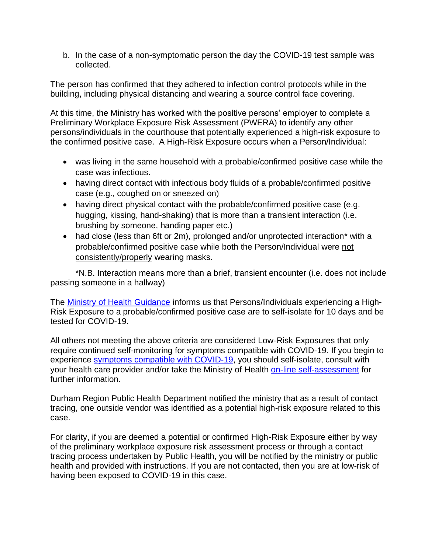b. In the case of a non-symptomatic person the day the COVID-19 test sample was collected.

The person has confirmed that they adhered to infection control protocols while in the building, including physical distancing and wearing a source control face covering.

At this time, the Ministry has worked with the positive persons' employer to complete a Preliminary Workplace Exposure Risk Assessment (PWERA) to identify any other persons/individuals in the courthouse that potentially experienced a high-risk exposure to the confirmed positive case. A High-Risk Exposure occurs when a Person/Individual:

- was living in the same household with a probable/confirmed positive case while the case was infectious.
- having direct contact with infectious body fluids of a probable/confirmed positive case (e.g., coughed on or sneezed on)
- having direct physical contact with the probable/confirmed positive case (e.g. hugging, kissing, hand-shaking) that is more than a transient interaction (i.e. brushing by someone, handing paper etc.)
- had close (less than 6ft or 2m), prolonged and/or unprotected interaction\* with a probable/confirmed positive case while both the Person/Individual were not consistently/properly wearing masks.

\*N.B. Interaction means more than a brief, transient encounter (i.e. does not include passing someone in a hallway)

The [Ministry of Health Guidance](http://www.health.gov.on.ca/en/pro/programs/publichealth/coronavirus/docs/contact_mngmt/management_cases_contacts.pdf) informs us that Persons/Individuals experiencing a High-Risk Exposure to a probable/confirmed positive case are to self-isolate for 10 days and be tested for COVID-19.

All others not meeting the above criteria are considered Low-Risk Exposures that only require continued self-monitoring for symptoms compatible with COVID-19. If you begin to experience [symptoms compatible with COVID-19,](https://www.ontario.ca/page/covid-19-stop-spread) you should self-isolate, consult with your health care provider and/or take the Ministry of Health [on-line self-assessment](https://covid-19.ontario.ca/self-assessment/) for further information.

Durham Region Public Health Department notified the ministry that as a result of contact tracing, one outside vendor was identified as a potential high-risk exposure related to this case.

For clarity, if you are deemed a potential or confirmed High-Risk Exposure either by way of the preliminary workplace exposure risk assessment process or through a contact tracing process undertaken by Public Health, you will be notified by the ministry or public health and provided with instructions. If you are not contacted, then you are at low-risk of having been exposed to COVID-19 in this case.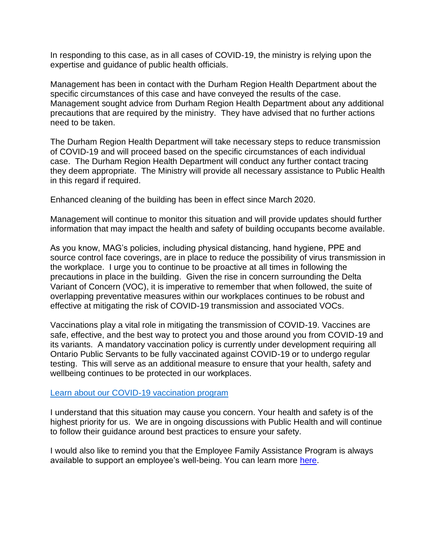In responding to this case, as in all cases of COVID-19, the ministry is relying upon the expertise and guidance of public health officials.

Management has been in contact with the Durham Region Health Department about the specific circumstances of this case and have conveyed the results of the case. Management sought advice from Durham Region Health Department about any additional precautions that are required by the ministry. They have advised that no further actions need to be taken.

The Durham Region Health Department will take necessary steps to reduce transmission of COVID-19 and will proceed based on the specific circumstances of each individual case. The Durham Region Health Department will conduct any further contact tracing they deem appropriate. The Ministry will provide all necessary assistance to Public Health in this regard if required.

Enhanced cleaning of the building has been in effect since March 2020.

Management will continue to monitor this situation and will provide updates should further information that may impact the health and safety of building occupants become available.

As you know, MAG's policies, including physical distancing, hand hygiene, PPE and source control face coverings, are in place to reduce the possibility of virus transmission in the workplace. I urge you to continue to be proactive at all times in following the precautions in place in the building. Given the rise in concern surrounding the Delta Variant of Concern (VOC), it is imperative to remember that when followed, the suite of overlapping preventative measures within our workplaces continues to be robust and effective at mitigating the risk of COVID-19 transmission and associated VOCs.

Vaccinations play a vital role in mitigating the transmission of COVID-19. Vaccines are safe, effective, and the best way to protect you and those around you from COVID-19 and its variants. A mandatory vaccination policy is currently under development requiring all Ontario Public Servants to be fully vaccinated against COVID-19 or to undergo regular testing. This will serve as an additional measure to ensure that your health, safety and wellbeing continues to be protected in our workplaces.

## [Learn about our COVID-19 vaccination program](https://covid-19.ontario.ca/covid-19-vaccines-ontario)

I understand that this situation may cause you concern. Your health and safety is of the highest priority for us. We are in ongoing discussions with Public Health and will continue to follow their guidance around best practices to ensure your safety.

I would also like to remind you that the Employee Family Assistance Program is always available to support an employee's well-being. You can learn more [here.](https://intra.ontario.ca/ops/efap)